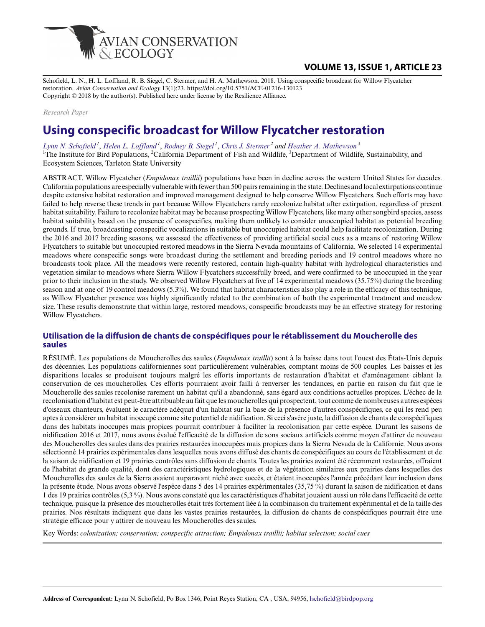

# **VOLUME 13, ISSUE 1, ARTICLE 23**

Schofield, L. N., H. L. Loffland, R. B. Siegel, C. Stermer, and H. A. Mathewson. 2018. Using conspecific broadcast for Willow Flycatcher restoration. *Avian Conservation and Ecology* 13(1):23. https://doi.org/10.5751/ACE-01216-130123 Copyright © 2018 by the author(s). Published here under license by the Resilience Alliance.

*Research Paper*

# **Using conspecific broadcast for Willow Flycatcher restoration**

*[Lynn N. Schofield](mailto:lschofield@birdpop.org)<sup>1</sup>* , *[Helen L. Loffland](mailto:hloffland@birdpop.org)<sup>1</sup>* , *[Rodney B. Siegel](mailto:rsiegel@birdpop.org)<sup>1</sup>* , *[Chris J. Stermer](mailto:Chris.Stermer@wildlife.ca.gov)<sup>2</sup> and [Heather A. Mathewson](mailto:mathewson@tarleton.edu)<sup>3</sup>*

<sup>1</sup>The Institute for Bird Populations, <sup>2</sup>California Department of Fish and Wildlife, <sup>3</sup>Department of Wildlife, Sustainability, and Ecosystem Sciences, Tarleton State University

ABSTRACT. Willow Flycatcher (*Empidonax traillii*) populations have been in decline across the western United States for decades. California populations are especially vulnerable with fewer than 500 pairs remaining in the state. Declines and local extirpations continue despite extensive habitat restoration and improved management designed to help conserve Willow Flycatchers. Such efforts may have failed to help reverse these trends in part because Willow Flycatchers rarely recolonize habitat after extirpation, regardless of present habitat suitability. Failure to recolonize habitat may be because prospecting Willow Flycatchers, like many other songbird species, assess habitat suitability based on the presence of conspecifics, making them unlikely to consider unoccupied habitat as potential breeding grounds. If true, broadcasting conspecific vocalizations in suitable but unoccupied habitat could help facilitate recolonization. During the 2016 and 2017 breeding seasons, we assessed the effectiveness of providing artificial social cues as a means of restoring Willow Flycatchers to suitable but unoccupied restored meadows in the Sierra Nevada mountains of California. We selected 14 experimental meadows where conspecific songs were broadcast during the settlement and breeding periods and 19 control meadows where no broadcasts took place. All the meadows were recently restored, contain high-quality habitat with hydrological characteristics and vegetation similar to meadows where Sierra Willow Flycatchers successfully breed, and were confirmed to be unoccupied in the year prior to their inclusion in the study. We observed Willow Flycatchers at five of 14 experimental meadows (35.75%) during the breeding season and at one of 19 control meadows (5.3%). We found that habitat characteristics also play a role in the efficacy of this technique, as Willow Flycatcher presence was highly significantly related to the combination of both the experimental treatment and meadow size. These results demonstrate that within large, restored meadows, conspecific broadcasts may be an effective strategy for restoring Willow Flycatchers.

## **Utilisation de la diffusion de chants de conspécifiques pour le rétablissement du Moucherolle des saules**

RÉSUMÉ. Les populations de Moucherolles des saules (*Empidonax traillii*) sont à la baisse dans tout l'ouest des États-Unis depuis des décennies. Les populations californiennes sont particulièrement vulnérables, comptant moins de 500 couples. Les baisses et les disparitions locales se produisent toujours malgré les efforts importants de restauration d'habitat et d'aménagement ciblant la conservation de ces moucherolles. Ces efforts pourraient avoir failli à renverser les tendances, en partie en raison du fait que le Moucherolle des saules recolonise rarement un habitat qu'il a abandonné, sans égard aux conditions actuelles propices. L'échec de la recolonisation d'habitat est peut-être attribuable au fait que les moucherolles qui prospectent, tout comme de nombreuses autres espèces d'oiseaux chanteurs, évaluent le caractère adéquat d'un habitat sur la base de la présence d'autres conspécifiques, ce qui les rend peu aptes à considérer un habitat inoccupé comme site potentiel de nidification. Si ceci s'avère juste, la diffusion de chants de conspécifiques dans des habitats inoccupés mais propices pourrait contribuer à faciliter la recolonisation par cette espèce. Durant les saisons de nidification 2016 et 2017, nous avons évalué l'efficacité de la diffusion de sons sociaux artificiels comme moyen d'attirer de nouveau des Moucherolles des saules dans des prairies restaurées inoccupées mais propices dans la Sierra Nevada de la Californie. Nous avons sélectionné 14 prairies expérimentales dans lesquelles nous avons diffusé des chants de conspécifiques au cours de l'établissement et de la saison de nidification et 19 prairies contrôles sans diffusion de chants. Toutes les prairies avaient été récemment restaurées, offraient de l'habitat de grande qualité, dont des caractéristiques hydrologiques et de la végétation similaires aux prairies dans lesquelles des Moucherolles des saules de la Sierra avaient auparavant niché avec succès, et étaient inoccupées l'année précédant leur inclusion dans la présente étude. Nous avons observé l'espèce dans 5 des 14 prairies expérimentales (35,75 %) durant la saison de nidification et dans 1 des 19 prairies contrôles (5,3 %). Nous avons constaté que les caractéristiques d'habitat jouaient aussi un rôle dans l'efficacité de cette technique, puisque la présence des moucherolles était très fortement liée à la combinaison du traitement expérimental et de la taille des prairies. Nos résultats indiquent que dans les vastes prairies restaurées, la diffusion de chants de conspécifiques pourrait être une stratégie efficace pour y attirer de nouveau les Moucherolles des saules.

Key Words: *colonization; conservation; conspecific attraction; Empidonax traillii; habitat selection; social cues*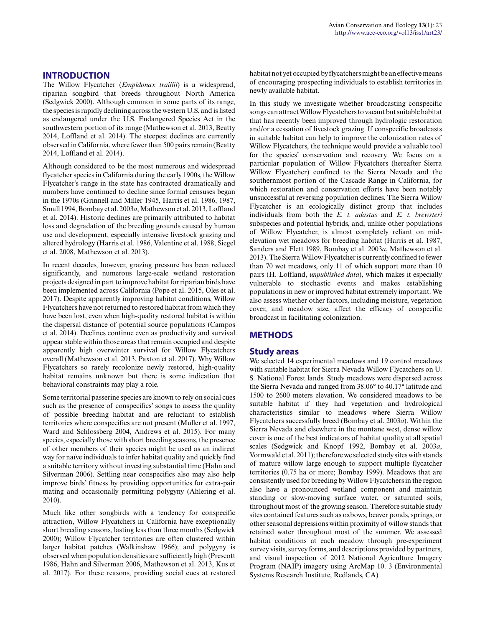### **INTRODUCTION**

The Willow Flycatcher (*Empidonax traillii*) is a widespread, riparian songbird that breeds throughout North America (Sedgwick 2000). Although common in some parts of its range, the species is rapidly declining across the western U.S. and is listed as endangered under the U.S. Endangered Species Act in the southwestern portion of its range (Mathewson et al. 2013, Beatty 2014, Loffland et al. 2014). The steepest declines are currently observed in California, where fewer than 500 pairs remain (Beatty 2014, Loffland et al. 2014).

Although considered to be the most numerous and widespread flycatcher species in California during the early 1900s, the Willow Flycatcher's range in the state has contracted dramatically and numbers have continued to decline since formal censuses began in the 1970s (Grinnell and Miller 1945, Harris et al. 1986, 1987, Small 1994, Bombay et al. 2003*a*, Mathewson et al. 2013, Loffland et al. 2014). Historic declines are primarily attributed to habitat loss and degradation of the breeding grounds caused by human use and development, especially intensive livestock grazing and altered hydrology (Harris et al. 1986, Valentine et al. 1988, Siegel et al. 2008, Mathewson et al. 2013).

In recent decades, however, grazing pressure has been reduced significantly, and numerous large-scale wetland restoration projects designed in part to improve habitat for riparian birds have been implemented across California (Pope et al. 2015, Oles et al. 2017). Despite apparently improving habitat conditions, Willow Flycatchers have not returned to restored habitat from which they have been lost, even when high-quality restored habitat is within the dispersal distance of potential source populations (Campos et al. 2014). Declines continue even as productivity and survival appear stable within those areas that remain occupied and despite apparently high overwinter survival for Willow Flycatchers overall (Mathewson et al. 2013, Paxton et al. 2017). Why Willow Flycatchers so rarely recolonize newly restored, high-quality habitat remains unknown but there is some indication that behavioral constraints may play a role.

Some territorial passerine species are known to rely on social cues such as the presence of conspecifics' songs to assess the quality of possible breeding habitat and are reluctant to establish territories where conspecifics are not present (Muller et al. 1997, Ward and Schlossberg 2004, Andrews et al. 2015). For many species, especially those with short breeding seasons, the presence of other members of their species might be used as an indirect way for naïve individuals to infer habitat quality and quickly find a suitable territory without investing substantial time (Hahn and Silverman 2006). Settling near conspecifics also may also help improve birds' fitness by providing opportunities for extra-pair mating and occasionally permitting polygyny (Ahlering et al. 2010).

Much like other songbirds with a tendency for conspecific attraction, Willow Flycatchers in California have exceptionally short breeding seasons, lasting less than three months (Sedgwick 2000); Willow Flycatcher territories are often clustered within larger habitat patches (Walkinshaw 1966); and polygyny is observed when population densities are sufficiently high (Prescott 1986, Hahn and Silverman 2006, Mathewson et al. 2013, Kus et al. 2017). For these reasons, providing social cues at restored habitat not yet occupied by flycatchers might be an effective means of encouraging prospecting individuals to establish territories in newly available habitat.

In this study we investigate whether broadcasting conspecific songs can attract Willow Flycatchers to vacant but suitable habitat that has recently been improved through hydrologic restoration and/or a cessation of livestock grazing. If conspecific broadcasts in suitable habitat can help to improve the colonization rates of Willow Flycatchers, the technique would provide a valuable tool for the species' conservation and recovery. We focus on a particular population of Willow Flycatchers (hereafter Sierra Willow Flycatcher) confined to the Sierra Nevada and the southernmost portion of the Cascade Range in California, for which restoration and conservation efforts have been notably unsuccessful at reversing population declines. The Sierra Willow Flycatcher is an ecologically distinct group that includes individuals from both the *E. t. adastus* and *E. t. brewsteri* subspecies and potential hybrids, and, unlike other populations of Willow Flycatcher, is almost completely reliant on midelevation wet meadows for breeding habitat (Harris et al. 1987, Sanders and Flett 1989, Bombay et al. 2003*a*, Mathewson et al. 2013). The Sierra Willow Flycatcher is currently confined to fewer than 70 wet meadows, only 11 of which support more than 10 pairs (H. Loffland, *unpublished data*), which makes it especially vulnerable to stochastic events and makes establishing populations in new or improved habitat extremely important. We also assess whether other factors, including moisture, vegetation cover, and meadow size, affect the efficacy of conspecific broadcast in facilitating colonization.

## **METHODS**

### **Study areas**

We selected 14 experimental meadows and 19 control meadows with suitable habitat for Sierra Nevada Willow Flycatchers on U. S. National Forest lands. Study meadows were dispersed across the Sierra Nevada and ranged from 38.06° to 40.17° latitude and 1500 to 2600 meters elevation. We considered meadows to be suitable habitat if they had vegetation and hydrological characteristics similar to meadows where Sierra Willow Flycatchers successfully breed (Bombay et al. 2003*a*). Within the Sierra Nevada and elsewhere in the montane west, dense willow cover is one of the best indicators of habitat quality at all spatial scales (Sedgwick and Knopf 1992, Bombay et al. 2003*a*, Vormwald et al. 2011); therefore we selected study sites with stands of mature willow large enough to support multiple flycatcher territories (0.75 ha or more; Bombay 1999). Meadows that are consistently used for breeding by Willow Flycatchers in the region also have a pronounced wetland component and maintain standing or slow-moving surface water, or saturated soils, throughout most of the growing season. Therefore suitable study sites contained features such as oxbows, beaver ponds, springs, or other seasonal depressions within proximity of willow stands that retained water throughout most of the summer. We assessed habitat conditions at each meadow through pre-experiment survey visits, survey forms, and descriptions provided by partners, and visual inspection of 2012 National Agriculture Imagery Program (NAIP) imagery using ArcMap 10. 3 (Environmental Systems Research Institute, Redlands, CA)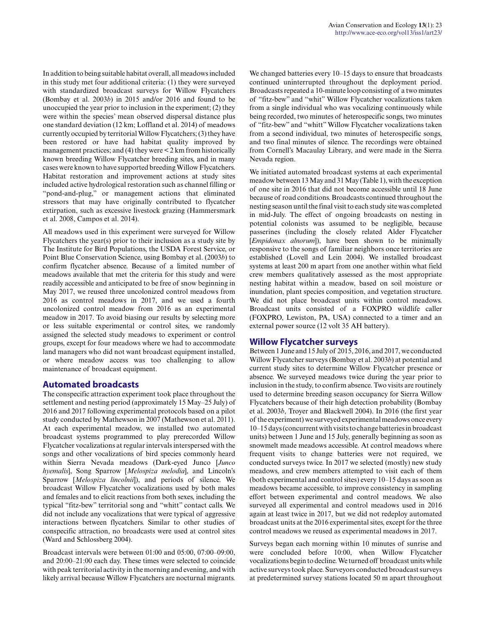In addition to being suitable habitat overall, all meadows included in this study met four additional criteria: (1) they were surveyed with standardized broadcast surveys for Willow Flycatchers (Bombay et al. 2003*b*) in 2015 and/or 2016 and found to be unoccupied the year prior to inclusion in the experiment; (2) they were within the species' mean observed dispersal distance plus one standard deviation (12 km; Loffland et al. 2014) of meadows currently occupied by territorial Willow Flycatchers; (3) they have been restored or have had habitat quality improved by management practices; and (4) they were < 2 km from historically known breeding Willow Flycatcher breeding sites, and in many cases were known to have supported breeding Willow Flycatchers. Habitat restoration and improvement actions at study sites included active hydrological restoration such as channel filling or "pond-and-plug," or management actions that eliminated stressors that may have originally contributed to flycatcher extirpation, such as excessive livestock grazing (Hammersmark et al. 2008, Campos et al. 2014).

All meadows used in this experiment were surveyed for Willow Flycatchers the year(s) prior to their inclusion as a study site by The Institute for Bird Populations, the USDA Forest Service, or Point Blue Conservation Science, using Bombay et al. (2003*b*) to confirm flycatcher absence. Because of a limited number of meadows available that met the criteria for this study and were readily accessible and anticipated to be free of snow beginning in May 2017, we reused three uncolonized control meadows from 2016 as control meadows in 2017, and we used a fourth uncolonized control meadow from 2016 as an experimental meadow in 2017. To avoid biasing our results by selecting more or less suitable experimental or control sites, we randomly assigned the selected study meadows to experiment or control groups, except for four meadows where we had to accommodate land managers who did not want broadcast equipment installed, or where meadow access was too challenging to allow maintenance of broadcast equipment.

## **Automated broadcasts**

The conspecific attraction experiment took place throughout the settlement and nesting period (approximately 15 May–25 July) of 2016 and 2017 following experimental protocols based on a pilot study conducted by Mathewson in 2007 (Mathewson et al. 2011). At each experimental meadow, we installed two automated broadcast systems programmed to play prerecorded Willow Flycatcher vocalizations at regular intervals interspersed with the songs and other vocalizations of bird species commonly heard within Sierra Nevada meadows (Dark-eyed Junco [*Junco hyemalis*], Song Sparrow [*Melospiza melodia*], and Lincoln's Sparrow [*Melospiza lincolnii*]), and periods of silence. We broadcast Willow Flycatcher vocalizations used by both males and females and to elicit reactions from both sexes, including the typical "fitz-bew" territorial song and "whitt" contact calls. We did not include any vocalizations that were typical of aggressive interactions between flycatchers. Similar to other studies of conspecific attraction, no broadcasts were used at control sites (Ward and Schlossberg 2004).

Broadcast intervals were between 01:00 and 05:00, 07:00–09:00, and 20:00–21:00 each day. These times were selected to coincide with peak territorial activity in the morning and evening, and with likely arrival because Willow Flycatchers are nocturnal migrants. We changed batteries every 10–15 days to ensure that broadcasts continued uninterrupted throughout the deployment period. Broadcasts repeated a 10-minute loop consisting of a two minutes of "fitz-bew" and "whit" Willow Flycatcher vocalizations taken from a single individual who was vocalizing continuously while being recorded, two minutes of heterospecific songs, two minutes of "fitz-bew" and "whitt" Willow Flycatcher vocalizations taken from a second individual, two minutes of heterospecific songs, and two final minutes of silence. The recordings were obtained from Cornell's Macaulay Library, and were made in the Sierra Nevada region.

We initiated automated broadcast systems at each experimental meadow between 13 May and 31 May (Table 1), with the exception of one site in 2016 that did not become accessible until 18 June because of road conditions. Broadcasts continued throughout the nesting season until the final visit to each study site was completed in mid-July. The effect of ongoing broadcasts on nesting in potential colonists was assumed to be negligible, because passerines (including the closely related Alder Flycatcher [*Empidonax alnorum*]), have been shown to be minimally responsive to the songs of familiar neighbors once territories are established (Lovell and Lein 2004). We installed broadcast systems at least 200 m apart from one another within what field crew members qualitatively assessed as the most appropriate nesting habitat within a meadow, based on soil moisture or inundation, plant species composition, and vegetation structure. We did not place broadcast units within control meadows. Broadcast units consisted of a FOXPRO wildlife caller (FOXPRO, Lewiston, PA, USA) connected to a timer and an external power source (12 volt 35 AH battery).

### **Willow Flycatcher surveys**

Between 1 June and 15 July of 2015, 2016, and 2017, we conducted Willow Flycatcher surveys (Bombay et al. 2003*b*) at potential and current study sites to determine Willow Flycatcher presence or absence. We surveyed meadows twice during the year prior to inclusion in the study, to confirm absence. Two visits are routinely used to determine breeding season occupancy for Sierra Willow Flycatchers because of their high detection probability (Bombay et al. 2003*b*, Troyer and Blackwell 2004). In 2016 (the first year of the experiment) we surveyed experimental meadows once every 10–15 days (concurrent with visits to change batteries in broadcast units) between 1 June and 15 July, generally beginning as soon as snowmelt made meadows accessible. At control meadows where frequent visits to change batteries were not required, we conducted surveys twice. In 2017 we selected (mostly) new study meadows, and crew members attempted to visit each of them (both experimental and control sites) every 10–15 days as soon as meadows became accessible, to improve consistency in sampling effort between experimental and control meadows. We also surveyed all experimental and control meadows used in 2016 again at least twice in 2017, but we did not redeploy automated broadcast units at the 2016 experimental sites, except for the three control meadows we reused as experimental meadows in 2017.

Surveys began each morning within 10 minutes of sunrise and were concluded before 10:00, when Willow Flycatcher vocalizations begin to decline. We turned off broadcast units while active surveys took place. Surveyors conducted broadcast surveys at predetermined survey stations located 50 m apart throughout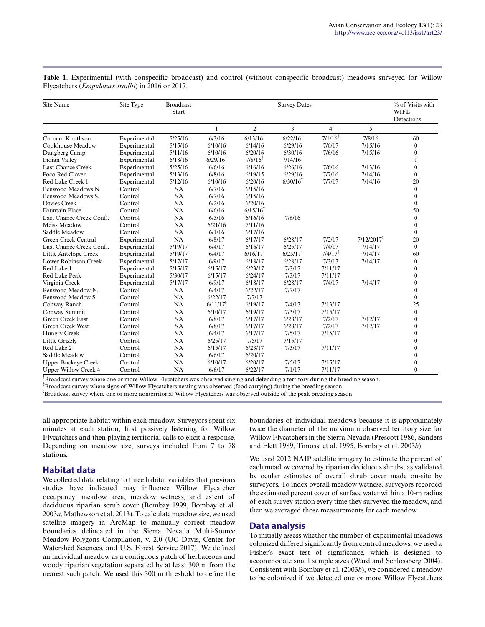**Table 1**. Experimental (with conspecific broadcast) and control (without conspecific broadcast) meadows surveyed for Willow Flycatchers (*Empidonax traillii*) in 2016 or 2017.

| <b>Site Name</b>            | Site Type    | <b>Broadcast</b><br>Start | <b>Survey Dates</b>    |                        |                        |                       |               | % of Visits with<br><b>WIFL</b><br>Detections |
|-----------------------------|--------------|---------------------------|------------------------|------------------------|------------------------|-----------------------|---------------|-----------------------------------------------|
|                             |              |                           | $\mathbf{1}$           | $\overline{2}$         | 3                      | $\overline{4}$        | 5             |                                               |
| Carman Knuthson             | Experimental | 5/25/16                   | 6/3/16                 | $6/13/16^{\dagger}$    | $6/22/16$ <sup>†</sup> | $7/1/16$ <sup>†</sup> | 7/8/16        | 60                                            |
| Cookhouse Meadow            | Experimental | 5/15/16                   | 6/10/16                | 6/14/16                | 6/29/16                | 7/6/17                | 7/15/16       | $\mathbf{0}$                                  |
| Dangberg Camp               | Experimental | 5/11/16                   | 6/10/16                | 6/20/16                | 6/30/16                | 7/6/16                | 7/15/16       | $\boldsymbol{0}$                              |
| Indian Valley               | Experimental | 6/18/16                   | $6/29/16$ <sup>†</sup> | $7/8/16$ <sup>†</sup>  | $7/14/16$ <sup>†</sup> |                       |               | $\mathbf{1}$                                  |
| <b>Last Chance Creek</b>    | Experimental | 5/25/16                   | 6/6/16                 | 6/16/16                | 6/26/16                | 7/6/16                | 7/13/16       | $\boldsymbol{0}$                              |
| Poco Red Clover             | Experimental | 5/13/16                   | 6/8/16                 | 6/19/15                | 6/29/16                | 7/7/16                | 7/14/16       | $\mathbf{0}$                                  |
| Red Lake Creek 1            | Experimental | 5/12/16                   | 6/10/16                | 6/20/16                | $6/30/16$ <sup>†</sup> | 7/7/17                | 7/14/16       | 20                                            |
| Benwood Meadows N.          | Control      | <b>NA</b>                 | 6/7/16                 | 6/15/16                |                        |                       |               | $\boldsymbol{0}$                              |
| Benwood Meadows S.          | Control      | NA                        | 6/7/16                 | 6/15/16                |                        |                       |               | $\mathbf{0}$                                  |
| Davies Creek                | Control      | NA                        | 6/2/16                 | 6/20/16                |                        |                       |               | $\mathbf{0}$                                  |
| Fountain Place              | Control      | NA                        | 6/6/16                 | $6/15/16$ <sup>†</sup> |                        |                       |               | 50                                            |
| Last Chance Creek Confl.    | Control      | NA                        | 6/5/16                 | 6/16/16                | 7/6/16                 |                       |               | $\mathbf{0}$                                  |
| Meiss Meadow                | Control      | NA                        | 6/21/16                | 7/11/16                |                        |                       |               | $\mathbf{0}$                                  |
| Saddle Meadow               | Control      | NA                        | 6/1/16                 | 6/17/16                |                        |                       |               | $\mathbf{0}$                                  |
| Green Creek Central         | Experimental | <b>NA</b>                 | 6/8/17                 | 6/17/17                | 6/28/17                | 7/2/17                | $7/12/2017^3$ | 20                                            |
| Last Chance Creek Confl.    | Experimental | 5/19/17                   | 6/4/17                 | 6/16/17                | 6/25/17                | 7/4/17                | 7/14/17       | $\mathbf{0}$                                  |
| Little Antelope Creek       | Experimental | 5/19/17                   | 6/4/17                 | $6/16/17$ <sup>†</sup> | $6/25/17$ <sup>†</sup> | $7/4/17$ <sup>t</sup> | 7/14/17       | 60                                            |
| Lower Robinson Creek        | Experimental | 5/17/17                   | 6/9/17                 | 6/18/17                | 6/28/17                | 7/3/17                | 7/14/17       | $\boldsymbol{0}$                              |
| Red Lake 1                  | Experimental | 5/15/17                   | 6/15/17                | 6/23/17                | 7/3/17                 | 7/11/17               |               | $\mathbf{0}$                                  |
| <b>Red Lake Peak</b>        | Experimental | 5/30/17                   | 6/15/17                | 6/24/17                | 7/3/17                 | 7/11/17               |               | $\mathbf{0}$                                  |
| Virginia Creek              | Experimental | 5/17/17                   | 6/9/17                 | 6/18/17                | 6/28/17                | 7/4/17                | 7/14/17       | $\mathbf{0}$                                  |
| Benwood Meadow N.           | Control      | <b>NA</b>                 | 6/4/17                 | 6/22/17                | 7/7/17                 |                       |               | $\boldsymbol{0}$                              |
| Benwood Meadow S.           | Control      | NA                        | 6/22/17                | 7/7/17                 |                        |                       |               | $\mathbf{0}$                                  |
| Conway Ranch                | Control      | NA                        | 6/11/17 <sup>8</sup>   | 6/19/17                | 7/4/17                 | 7/13/17               |               | 25                                            |
| Conway Summit               | Control      | NA                        | 6/10/17                | 6/19/17                | 7/3/17                 | 7/15/17               |               | $\mathbf{0}$                                  |
| Green Creek East            | Control      | NA                        | 6/8/17                 | 6/17/17                | 6/28/17                | 7/2/17                | 7/12/17       | $\mathbf{0}$                                  |
| Green Creek West            | Control      | NA                        | 6/8/17                 | 6/17/17                | 6/28/17                | 7/2/17                | 7/12/17       | $\mathbf{0}$                                  |
| Hungry Creek                | Control      | NA                        | 6/4/17                 | 6/17/17                | 7/5/17                 | 7/15/17               |               | $\theta$                                      |
| Little Grizzly              | Control      | NA                        | 6/25/17                | 7/5/17                 | 7/15/17                |                       |               | $\theta$                                      |
| Red Lake 2                  | Control      | NA                        | 6/15/17                | 6/23/17                | 7/3/17                 | 7/11/17               |               | $\mathbf{0}$                                  |
| Saddle Meadow               | Control      | NA                        | 6/6/17                 | 6/20/17                |                        |                       |               | $\boldsymbol{0}$                              |
| <b>Upper Buckeye Creek</b>  | Control      | NA                        | 6/10/17                | 6/20/17                | 7/5/17                 | 7/15/17               |               | $\boldsymbol{0}$                              |
| <b>Upper Willow Creek 4</b> | Control      | NA                        | 6/6/17                 | 6/22/17                | 7/1/17                 | 7/11/17               |               | $\theta$                                      |

† Broadcast survey where one or more Willow Flycatchers was observed singing and defending a territory during the breeding season.

‡ Broadcast survey where signs of Willow Flycatchers nesting was observed (food carrying) during the breeding season.

§ Broadcast survey where one or more nonterritorial Willow Flycatchers was observed outside of the peak breeding season.

all appropriate habitat within each meadow. Surveyors spent six minutes at each station, first passively listening for Willow Flycatchers and then playing territorial calls to elicit a response. Depending on meadow size, surveys included from 7 to 78 stations.

## **Habitat data**

We collected data relating to three habitat variables that previous studies have indicated may influence Willow Flycatcher occupancy: meadow area, meadow wetness, and extent of deciduous riparian scrub cover (Bombay 1999, Bombay et al. 2003*a*, Mathewson et al. 2013). To calculate meadow size, we used satellite imagery in ArcMap to manually correct meadow boundaries delineated in the Sierra Nevada Multi-Source Meadow Polygons Compilation, v. 2.0 (UC Davis, Center for Watershed Sciences, and U.S. Forest Service 2017). We defined an individual meadow as a contiguous patch of herbaceous and woody riparian vegetation separated by at least 300 m from the nearest such patch. We used this 300 m threshold to define the

boundaries of individual meadows because it is approximately twice the diameter of the maximum observed territory size for Willow Flycatchers in the Sierra Nevada (Prescott 1986, Sanders and Flett 1989, Timossi et al. 1995, Bombay et al. 2003*b*).

We used 2012 NAIP satellite imagery to estimate the percent of each meadow covered by riparian deciduous shrubs, as validated by ocular estimates of overall shrub cover made on-site by surveyors. To index overall meadow wetness, surveyors recorded the estimated percent cover of surface water within a 10-m radius of each survey station every time they surveyed the meadow, and then we averaged those measurements for each meadow.

## **Data analysis**

To initially assess whether the number of experimental meadows colonized differed significantly from control meadows, we used a Fisher's exact test of significance, which is designed to accommodate small sample sizes (Ward and Schlossberg 2004). Consistent with Bombay et al. (2003*b*), we considered a meadow to be colonized if we detected one or more Willow Flycatchers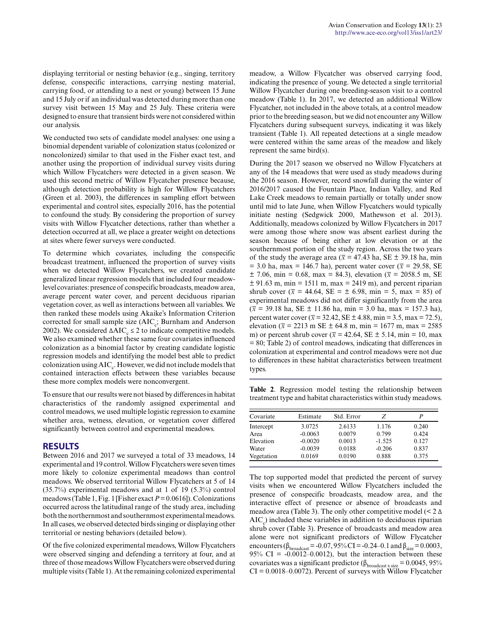displaying territorial or nesting behavior (e.g., singing, territory defense, conspecific interactions, carrying nesting material, carrying food, or attending to a nest or young) between 15 June and 15 July or if an individual was detected during more than one survey visit between 15 May and 25 July. These criteria were designed to ensure that transient birds were not considered within our analysis.

We conducted two sets of candidate model analyses: one using a binomial dependent variable of colonization status (colonized or noncolonized) similar to that used in the Fisher exact test, and another using the proportion of individual survey visits during which Willow Flycatchers were detected in a given season. We used this second metric of Willow Flycatcher presence because, although detection probability is high for Willow Flycatchers (Green et al. 2003), the differences in sampling effort between experimental and control sites, especially 2016, has the potential to confound the study. By considering the proportion of survey visits with Willow Flycatcher detections, rather than whether a detection occurred at all, we place a greater weight on detections at sites where fewer surveys were conducted.

To determine which covariates, including the conspecific broadcast treatment, influenced the proportion of survey visits when we detected Willow Flycatchers, we created candidate generalized linear regression models that included four meadowlevel covariates: presence of conspecific broadcasts, meadow area, average percent water cover, and percent deciduous riparian vegetation cover, as well as interactions between all variables. We then ranked these models using Akaike's Information Criterion corrected for small sample size  $(AIC_c;$  Burnham and Anderson 2002). We considered  $\triangle AIC_c \leq 2$  to indicate competitive models. We also examined whether these same four covariates influenced colonization as a binomial factor by creating candidate logistic regression models and identifying the model best able to predict colonization using  $\mathrm{AIC}_\mathrm{c}$ . However, we did not include models that contained interaction effects between these variables because these more complex models were nonconvergent.

To ensure that our results were not biased by differences in habitat characteristics of the randomly assigned experimental and control meadows, we used multiple logistic regression to examine whether area, wetness, elevation, or vegetation cover differed significantly between control and experimental meadows.

### **RESULTS**

Between 2016 and 2017 we surveyed a total of 33 meadows, 14 experimental and 19 control. Willow Flycatchers were seven times more likely to colonize experimental meadows than control meadows. We observed territorial Willow Flycatchers at 5 of 14 (35.7%) experimental meadows and at 1 of 19 (5.3%) control meadows (Table 1, Fig. 1 [Fisher exact *P* = 0.0616]). Colonizations occurred across the latitudinal range of the study area, including both the northernmost and southernmost experimental meadows. In all cases, we observed detected birds singing or displaying other territorial or nesting behaviors (detailed below).

Of the five colonized experimental meadows, Willow Flycatchers were observed singing and defending a territory at four, and at three of those meadows Willow Flycatchers were observed during multiple visits (Table 1). At the remaining colonized experimental meadow, a Willow Flycatcher was observed carrying food, indicating the presence of young. We detected a single territorial Willow Flycatcher during one breeding-season visit to a control meadow (Table 1). In 2017, we detected an additional Willow Flycatcher, not included in the above totals, at a control meadow prior to the breeding season, but we did not encounter any Willow Flycatchers during subsequent surveys, indicating it was likely transient (Table 1). All repeated detections at a single meadow were centered within the same areas of the meadow and likely represent the same bird(s).

During the 2017 season we observed no Willow Flycatchers at any of the 14 meadows that were used as study meadows during the 2016 season. However, record snowfall during the winter of 2016/2017 caused the Fountain Place, Indian Valley, and Red Lake Creek meadows to remain partially or totally under snow until mid to late June, when Willow Flycatchers would typically initiate nesting (Sedgwick 2000, Mathewson et al. 2013). Additionally, meadows colonized by Willow Flycatchers in 2017 were among those where snow was absent earliest during the season because of being either at low elevation or at the southernmost portion of the study region. Across the two years of the study the average area ( $\bar{x}$  = 47.43 ha, SE  $\pm$  39.18 ha, min  $= 3.0$  ha, max  $= 146.7$  ha), percent water cover ( $\bar{x} = 29.58$ , SE  $\pm$  7.06, min = 0.68, max = 84.3), elevation ( $\bar{x}$  = 2058.5 m, SE  $\pm$  91.63 m, min = 1511 m, max = 2419 m), and percent riparian shrub cover ( $\bar{x}$  = 44.64, SE =  $\pm$  6.98, min = 5, max = 85) of experimental meadows did not differ significantly from the area  $(\bar{x} = 39.18 \text{ ha}, \text{SE} \pm 11.86 \text{ ha}, \text{min} = 3.0 \text{ ha}, \text{max} = 157.3 \text{ ha})$ , percent water cover ( $\bar{x}$  = 32.42, SE  $\pm$  4.88, min = 3.5, max = 72.5), elevation ( $\bar{x}$  = 2213 m SE  $\pm$  64.8 m, min = 1677 m, max = 2585 m) or percent shrub cover ( $\bar{x}$  = 42.64, SE  $\pm$  5.14, min = 10, max = 80; Table 2) of control meadows, indicating that differences in colonization at experimental and control meadows were not due to differences in these habitat characteristics between treatment types.

**Table 2**. Regression model testing the relationship between treatment type and habitat characteristics within study meadows.

| Covariate  | Estimate  | Std. Error | Z        |       |
|------------|-----------|------------|----------|-------|
| Intercept  | 3.0725    | 2.6133     | 1.176    | 0.240 |
| Area       | $-0.0063$ | 0.0079     | 0.799    | 0.424 |
| Elevation  | $-0.0020$ | 0.0013     | $-1.525$ | 0.127 |
| Water      | $-0.0039$ | 0.0188     | $-0.206$ | 0.837 |
| Vegetation | 0.0169    | 0.0190     | 0.888    | 0.375 |

The top supported model that predicted the percent of survey visits when we encountered Willow Flycatchers included the presence of conspecific broadcasts, meadow area, and the interactive effect of presence or absence of broadcasts and meadow area (Table 3). The only other competitive model ( $\leq 2 \Delta$ )  $\mathrm{AIC}_c$ ) included these variables in addition to deciduous riparian shrub cover (Table 3). Presence of broadcasts and meadow area alone were not significant predictors of Willow Flycatcher encounters ( $\beta_{\text{broadcast}} = -0.07,95\% \text{ CI} = -0.24 - 0.1 \text{ and } \beta_{\text{size}} = 0.0003,$ 95% CI =  $-0.0012-0.0012$ , but the interaction between these covariates was a significant predictor ( $\beta_{\text{broadcast x size}} = 0.0045, 95\%$  $CI = 0.0018 - 0.0072$ . Percent of surveys with Willow Flycatcher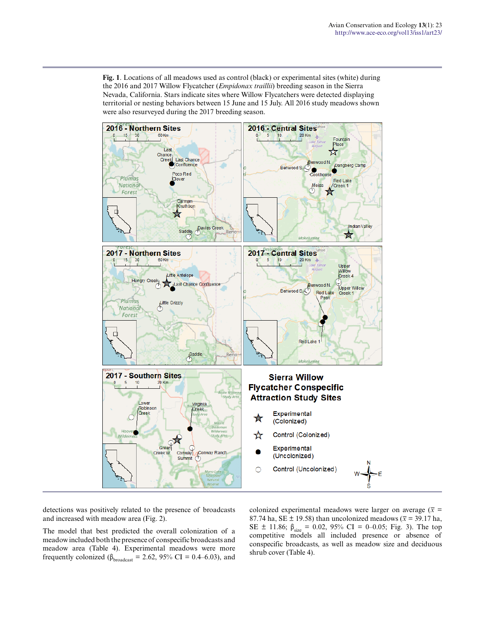**Fig. 1**. Locations of all meadows used as control (black) or experimental sites (white) during the 2016 and 2017 Willow Flycatcher (*Empidonax traillii*) breeding season in the Sierra Nevada, California. Stars indicate sites where Willow Flycatchers were detected displaying territorial or nesting behaviors between 15 June and 15 July. All 2016 study meadows shown were also resurveyed during the 2017 breeding season.



detections was positively related to the presence of broadcasts and increased with meadow area (Fig. 2).

The model that best predicted the overall colonization of a meadow included both the presence of conspecific broadcasts and meadow area (Table 4). Experimental meadows were more frequently colonized ( $\beta_{\text{broadcast}} = 2.62, 95\% \text{ CI} = 0.4–6.03$ ), and colonized experimental meadows were larger on average ( $\bar{x}$  = 87.74 ha, SE  $\pm$  19.58) than uncolonized meadows ( $\bar{x}$  = 39.17 ha, SE  $\pm$  11.86;  $\beta_{\text{size}} = 0.02$ , 95% CI = 0–0.05; Fig. 3). The top competitive models all included presence or absence of conspecific broadcasts, as well as meadow size and deciduous shrub cover (Table 4).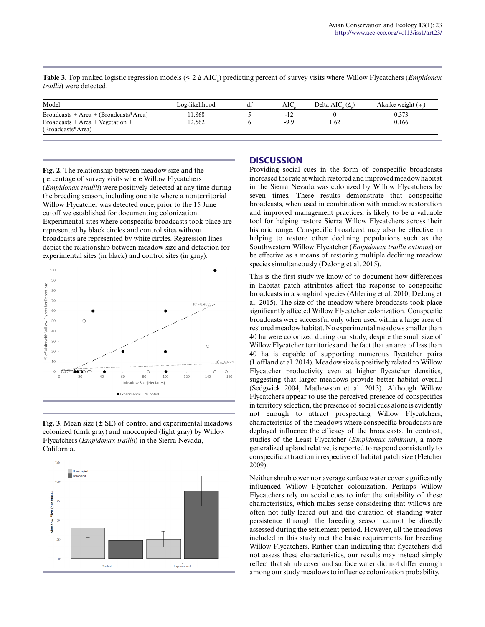| Table 3. Top ranked logistic regression models ( $\leq 2 \Delta AIC_c$ ) predicting percent of survey visits where Willow Flycatchers ( <i>Empidonax</i> |  |  |
|----------------------------------------------------------------------------------------------------------------------------------------------------------|--|--|
| <i>traillii</i> ) were detected.                                                                                                                         |  |  |

| Model                                                                       | Log-likelihood | AIC           | Delta AIC (∆ ` | Akaike weight $(w_0)$ |
|-----------------------------------------------------------------------------|----------------|---------------|----------------|-----------------------|
| $Broadcast + Area + (Broadcast * Area)$<br>Broadcasts + Area + Vegetation + | 1.868<br>2.562 | -12<br>$-9.9$ | .62            | 0.373<br>0.166        |
| (Broadcasts*Area)                                                           |                |               |                |                       |

**Fig. 2**. The relationship between meadow size and the percentage of survey visits where Willow Flycatchers (*Empidonax traillii*) were positively detected at any time during the breeding season, including one site where a nonterritorial Willow Flycatcher was detected once, prior to the 15 June cutoff we established for documenting colonization. Experimental sites where conspecific broadcasts took place are represented by black circles and control sites without broadcasts are represented by white circles. Regression lines depict the relationship between meadow size and detection for experimental sites (in black) and control sites (in gray).



**Fig. 3**. Mean size  $(\pm \text{SE})$  of control and experimental meadows colonized (dark gray) and unoccupied (light gray) by Willow Flycatchers (*Empidonax traillii*) in the Sierra Nevada, California.



## **DISCUSSION**

Providing social cues in the form of conspecific broadcasts increased the rate at which restored and improved meadow habitat in the Sierra Nevada was colonized by Willow Flycatchers by seven times. These results demonstrate that conspecific broadcasts, when used in combination with meadow restoration and improved management practices, is likely to be a valuable tool for helping restore Sierra Willow Flycatchers across their historic range. Conspecific broadcast may also be effective in helping to restore other declining populations such as the Southwestern Willow Flycatcher (*Empidonax traillii extimus*) or be effective as a means of restoring multiple declining meadow species simultaneously (DeJong et al. 2015).

This is the first study we know of to document how differences in habitat patch attributes affect the response to conspecific broadcasts in a songbird species (Ahlering et al. 2010, DeJong et al. 2015). The size of the meadow where broadcasts took place significantly affected Willow Flycatcher colonization. Conspecific broadcasts were successful only when used within a large area of restored meadow habitat. No experimental meadows smaller than 40 ha were colonized during our study, despite the small size of Willow Flycatcher territories and the fact that an area of less than 40 ha is capable of supporting numerous flycatcher pairs (Loffland et al. 2014). Meadow size is positively related to Willow Flycatcher productivity even at higher flycatcher densities, suggesting that larger meadows provide better habitat overall (Sedgwick 2004, Mathewson et al. 2013). Although Willow Flycatchers appear to use the perceived presence of conspecifics in territory selection, the presence of social cues alone is evidently not enough to attract prospecting Willow Flycatchers; characteristics of the meadows where conspecific broadcasts are deployed influence the efficacy of the broadcasts. In contrast, studies of the Least Flycatcher (*Empidonax minimus*), a more generalized upland relative, is reported to respond consistently to conspecific attraction irrespective of habitat patch size (Fletcher 2009).

Neither shrub cover nor average surface water cover significantly influenced Willow Flycatcher colonization. Perhaps Willow Flycatchers rely on social cues to infer the suitability of these characteristics, which makes sense considering that willows are often not fully leafed out and the duration of standing water persistence through the breeding season cannot be directly assessed during the settlement period. However, all the meadows included in this study met the basic requirements for breeding Willow Flycatchers. Rather than indicating that flycatchers did not assess these characteristics, our results may instead simply reflect that shrub cover and surface water did not differ enough among our study meadows to influence colonization probability.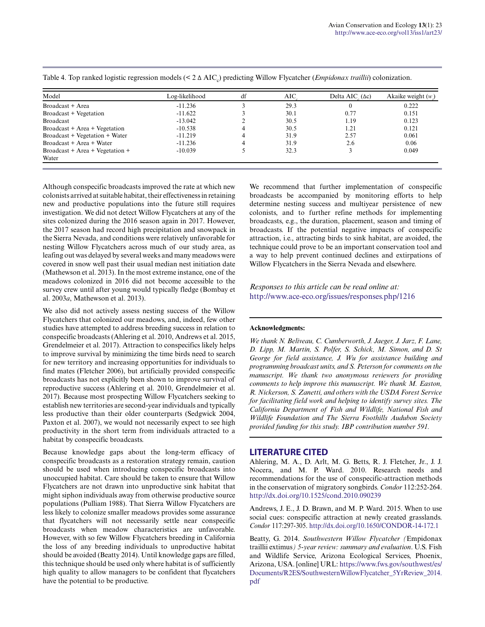| Model                             | Log-likelihood | df | AIC  | Delta AIC $(4c)$ | Akaike weight $(w)$ |
|-----------------------------------|----------------|----|------|------------------|---------------------|
| Broadcast + Area                  | $-11.236$      |    | 29.3 |                  | 0.222               |
| Broadcast + Vegetation            | $-11.622$      |    | 30.1 | 0.77             | 0.151               |
| <b>Broadcast</b>                  | $-13.042$      |    | 30.5 | 1.19             | 0.123               |
| Broadcast + Area + Vegetation     | $-10.538$      |    | 30.5 | 1.21             | 0.121               |
| Broadcast + Vegetation + Water    | $-11.219$      |    | 31.9 | 2.57             | 0.061               |
| $Broadcast + Area + Water$        | $-11.236$      |    | 31.9 | 2.6              | 0.06                |
| $Broadcast + Area + Vegetation +$ | $-10.039$      |    | 32.3 |                  | 0.049               |
| Water                             |                |    |      |                  |                     |

Table 4. Top ranked logistic regression models (< 2 Δ AIC<sub>c</sub>) predicting Willow Flycatcher (*Empidonax traillii*) colonization.

Although conspecific broadcasts improved the rate at which new colonists arrived at suitable habitat, their effectiveness in retaining new and productive populations into the future still requires investigation. We did not detect Willow Flycatchers at any of the sites colonized during the 2016 season again in 2017. However, the 2017 season had record high precipitation and snowpack in the Sierra Nevada, and conditions were relatively unfavorable for nesting Willow Flycatchers across much of our study area, as leafing out was delayed by several weeks and many meadows were covered in snow well past their usual median nest initiation date (Mathewson et al. 2013). In the most extreme instance, one of the meadows colonized in 2016 did not become accessible to the survey crew until after young would typically fledge (Bombay et al. 2003*a*, Mathewson et al. 2013).

We also did not actively assess nesting success of the Willow Flycatchers that colonized our meadows, and, indeed, few other studies have attempted to address breeding success in relation to conspecific broadcasts (Ahlering et al. 2010, Andrews et al. 2015, Grendelmeier et al. 2017). Attraction to conspecifics likely helps to improve survival by minimizing the time birds need to search for new territory and increasing opportunities for individuals to find mates (Fletcher 2006), but artificially provided conspecific broadcasts has not explicitly been shown to improve survival of reproductive success (Ahlering et al. 2010, Grendelmeier et al. 2017). Because most prospecting Willow Flycatchers seeking to establish new territories are second-year individuals and typically less productive than their older counterparts (Sedgwick 2004, Paxton et al. 2007), we would not necessarily expect to see high productivity in the short term from individuals attracted to a habitat by conspecific broadcasts.

Because knowledge gaps about the long-term efficacy of conspecific broadcasts as a restoration strategy remain, caution should be used when introducing conspecific broadcasts into unoccupied habitat. Care should be taken to ensure that Willow Flycatchers are not drawn into unproductive sink habitat that might siphon individuals away from otherwise productive source populations (Pulliam 1988). That Sierra Willow Flycatchers are less likely to colonize smaller meadows provides some assurance that flycatchers will not necessarily settle near conspecific broadcasts when meadow characteristics are unfavorable. However, with so few Willow Flycatchers breeding in California the loss of any breeding individuals to unproductive habitat should be avoided (Beatty 2014). Until knowledge gaps are filled, this technique should be used only where habitat is of sufficiently high quality to allow managers to be confident that flycatchers have the potential to be productive.

We recommend that further implementation of conspecific broadcasts be accompanied by monitoring efforts to help determine nesting success and multiyear persistence of new colonists, and to further refine methods for implementing broadcasts, e.g., the duration, placement, season and timing of broadcasts. If the potential negative impacts of conspecific attraction, i.e., attracting birds to sink habitat, are avoided, the technique could prove to be an important conservation tool and a way to help prevent continued declines and extirpations of Willow Flycatchers in the Sierra Nevada and elsewhere.

*Responses to this article can be read online at:* <http://www.ace-eco.org/issues/responses.php/1216>

#### **Acknowledgments:**

*We thank N. Beliveau, C. Cumberworth, J. Jaeger, J. Jarz, F. Lane, D. Lipp, M. Martin, S. Polfer, S. Schick, M. Simon, and D. St George for field assistance, J. Wu for assistance building and programming broadcast units, and S. Peterson for comments on the manuscript. We thank two anonymous reviewers for providing comments to help improve this manuscript. We thank M. Easton, R. Nickerson, S. Zanetti, and others with the USDA Forest Service for facilitating field work and helping to identify survey sites. The California Department of Fish and Wildlife, National Fish and Wildlife Foundation and The Sierra Foothills Audubon Society provided funding for this study. IBP contribution number 591.*

#### **LITERATURE CITED**

Ahlering, M. A., D. Arlt, M. G. Betts, R. J. Fletcher, Jr., J. J. Nocera, and M. P. Ward. 2010. Research needs and recommendations for the use of conspecific-attraction methods in the conservation of migratory songbirds. *Condor* 112:252-264. [http://dx.doi.org/10.1525/cond.2010.090239](http://dx.doi.org/10.1525%2Fcond.2010.090239)

Andrews, J. E., J. D. Brawn, and M. P. Ward. 2015. When to use social cues: conspecific attraction at newly created grasslands. *Condor* 117:297-305. [http://dx.doi.org/10.1650/CONDOR-14-172.1](http://dx.doi.org/10.1650%2FCONDOR-14-172.1) 

Beatty, G. 2014. *Southwestern Willow Flycatcher (*Empidonax traillii extimus*) 5-year review: summary and evaluation*. U.S. Fish and Wildlife Service, Arizona Ecological Services, Phoenix, Arizona, USA. [online] URL: [https://www.fws.gov/southwest/es/](https://www.fws.gov/southwest/es/Documents/R2ES/SouthwesternWillowFlycatcher_5YrReview_2014.pdf) [Documents/R2ES/SouthwesternWillowFlycatcher\\_5YrReview\\_2014.](https://www.fws.gov/southwest/es/Documents/R2ES/SouthwesternWillowFlycatcher_5YrReview_2014.pdf) [pdf](https://www.fws.gov/southwest/es/Documents/R2ES/SouthwesternWillowFlycatcher_5YrReview_2014.pdf)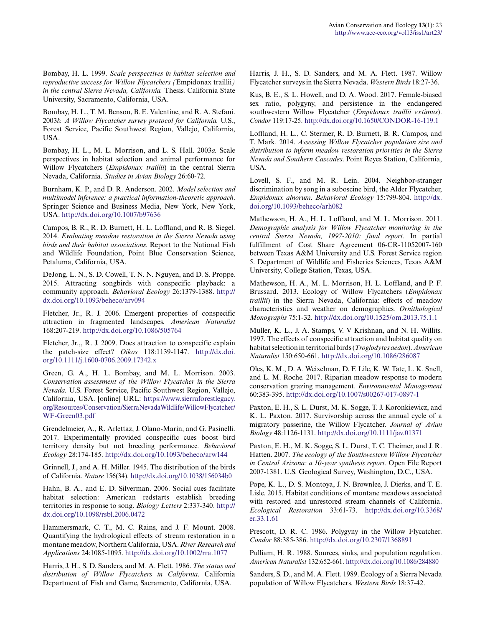Bombay, H. L. 1999. *Scale perspectives in habitat selection and reproductive success for Willow Flycatchers (*Empidonax traillii*) in the central Sierra Nevada, California.* Thesis. California State University, Sacramento, California, USA.

Bombay, H. L., T. M. Benson, B. E. Valentine, and R. A. Stefani. 2003*b. A Willow Flycatcher survey protocol for California.* U.S., Forest Service, Pacific Southwest Region, Vallejo, California, USA.

Bombay, H. L., M. L. Morrison, and L. S. Hall. 2003*a.* Scale perspectives in habitat selection and animal performance for Willow Flycatchers (*Empidonax traillii*) in the central Sierra Nevada, California. *Studies in Avian Biology* 26:60-72.

Burnham, K. P., and D. R. Anderson. 2002. *Model selection and multimodel inference: a practical information-theoretic approach*. Springer Science and Business Media, New York, New York, USA. [http://dx.doi.org/10.1007/b97636](http://dx.doi.org/10.1007%2Fb97636) 

Campos, B. R., R. D. Burnett, H. L. Loffland, and R. B. Siegel. 2014. *Evaluating meadow restoration in the Sierra Nevada using birds and their habitat associations.* Report to the National Fish and Wildlife Foundation, Point Blue Conservation Science, Petaluma, California, USA.

DeJong, L. N., S. D. Cowell, T. N. N. Nguyen, and D. S. Proppe. 2015. Attracting songbirds with conspecific playback: a community approach. *Behavioral Ecology* 26:1379-1388. [http://](http://dx.doi.org/10.1093%2Fbeheco%2Farv094) [dx.doi.org/10.1093/beheco/arv094](http://dx.doi.org/10.1093%2Fbeheco%2Farv094)

Fletcher, Jr., R. J. 2006. Emergent properties of conspecific attraction in fragmented landscapes. *American Naturalist* 168:207-219. [http://dx.doi.org/10.1086/505764](http://dx.doi.org/10.1086%2F505764) 

Fletcher, Jr.,, R. J. 2009. Does attraction to conspecific explain the patch-size effect? *Oikos* 118:1139-1147. [http://dx.doi.](http://dx.doi.org/10.1111%2Fj.1600-0706.2009.17342.x) [org/10.1111/j.1600-0706.2009.17342.x](http://dx.doi.org/10.1111%2Fj.1600-0706.2009.17342.x)

Green, G. A., H. L. Bombay, and M. L. Morrison. 2003. *Conservation assessment of the Willow Flycatcher in the Sierra Nevada.* U.S. Forest Service, Pacific Southwest Region, Vallejo, California, USA. [online] URL: [https://www.sierraforestlegacy.](https://www.sierraforestlegacy.org/Resources/Conservation/SierraNevadaWildlife/WillowFlycatcher/WF-Green03.pdf) [org/Resources/Conservation/SierraNevadaWildlife/WillowFlycatcher/](https://www.sierraforestlegacy.org/Resources/Conservation/SierraNevadaWildlife/WillowFlycatcher/WF-Green03.pdf) [WF-Green03.pdf](https://www.sierraforestlegacy.org/Resources/Conservation/SierraNevadaWildlife/WillowFlycatcher/WF-Green03.pdf)

Grendelmeier, A., R. Arlettaz, J. Olano-Marin, and G. Pasinelli. 2017. Experimentally provided conspecific cues boost bird territory density but not breeding performance. *Behavioral Ecology* 28:174-185. [http://dx.doi.org/10.1093/beheco/arw144](http://dx.doi.org/10.1093%2Fbeheco%2Farw144)

Grinnell, J., and A. H. Miller. 1945. The distribution of the birds of California. *Nature* 156(34). <http://dx.doi.org/10.1038/156034b0>

Hahn, B. A., and E. D. Silverman. 2006. Social cues facilitate habitat selection: American redstarts establish breeding territories in response to song. *Biology Letters* 2:337-340. [http://](http://dx.doi.org/10.1098%2Frsbl.2006.0472) [dx.doi.org/10.1098/rsbl.2006.0472](http://dx.doi.org/10.1098%2Frsbl.2006.0472) 

Hammersmark, C. T., M. C. Rains, and J. F. Mount. 2008. Quantifying the hydrological effects of stream restoration in a montane meadow, Northern California, USA. *River Research and Applications* 24:1085-1095. [http://dx.doi.org/10.1002/rra.1077](http://dx.doi.org/10.1002%2Frra.1077)

Harris, J. H., S. D. Sanders, and M. A. Flett. 1986. *The status and distribution of Willow Flycatchers in California*. California Department of Fish and Game, Sacramento, California, USA.

Harris, J. H., S. D. Sanders, and M. A. Flett. 1987. Willow Flycatcher surveys in the Sierra Nevada. *Western Birds* 18:27-36.

Kus, B. E., S. L. Howell, and D. A. Wood. 2017. Female-biased sex ratio, polygyny, and persistence in the endangered southwestern Willow Flycatcher (*Empidonax traillii extimus*). *Condor* 119:17-25. [http://dx.doi.org/10.1650/CONDOR-16-119.1](http://dx.doi.org/10.1650%2FCONDOR-16-119.1) 

Loffland, H. L., C. Stermer, R. D. Burnett, B. R. Campos, and T. Mark. 2014. *Assessing Willow Flycatcher population size and distribution to inform meadow restoration priorities in the Sierra Nevada and Southern Cascades*. Point Reyes Station, California, USA.

Lovell, S. F., and M. R. Lein. 2004. Neighbor-stranger discrimination by song in a suboscine bird, the Alder Flycatcher, *Empidonax alnorum*. *Behavioral Ecology* 15:799-804. [http://dx.](http://dx.doi.org/10.1093%2Fbeheco%2Farh082) [doi.org/10.1093/beheco/arh082](http://dx.doi.org/10.1093%2Fbeheco%2Farh082) 

Mathewson, H. A., H. L. Loffland, and M. L. Morrison. 2011. *Demographic analysis for Willow Flycatcher monitoring in the central Sierra Nevada, 1997-2010: final report.* In partial fulfillment of Cost Share Agreement 06-CR-11052007-160 between Texas A&M University and U.S. Forest Service region 5. Department of Wildlife and Fisheries Sciences, Texas A&M University, College Station, Texas, USA.

Mathewson, H. A., M. L. Morrison, H. L. Loffland, and P. F. Brussard. 2013. Ecology of Willow Flycatchers (*Empidonax traillii*) in the Sierra Nevada, California: effects of meadow characteristics and weather on demographics. *Ornithological Monographs* 75:1-32. [http://dx.doi.org/10.1525/om.2013.75.1.1](http://dx.doi.org/10.1525%2Fom.2013.75.1.1)

Muller, K. L., J. A. Stamps, V. V Krishnan, and N. H. Willits. 1997. The effects of conspecific attraction and habitat quality on habitat selection in territorial birds (*Troglodytes aedon*). *American Naturalist* 150:650-661. [http://dx.doi.org/10.1086/286087](http://dx.doi.org/10.1086%2F286087)

Oles, K. M., D. A. Weixelman, D. F. Lile, K. W. Tate, L. K. Snell, and L. M. Roche. 2017. Riparian meadow response to modern conservation grazing management. *Environmental Management* 60:383-395. [http://dx.doi.org/10.1007/s00267-017-0897-1](http://dx.doi.org/10.1007%2Fs00267-017-0897-1)

Paxton, E. H., S. L. Durst, M. K. Sogge, T. J. Koronkiewicz, and K. L. Paxton. 2017. Survivorship across the annual cycle of a migratory passerine, the Willow Flycatcher. *Journal of Avian Biology* 48:1126-1131. [http://dx.doi.org/10.1111/jav.01371](http://dx.doi.org/10.1111%2Fjav.01371)

Paxton, E. H., M. K. Sogge, S. L. Durst, T. C. Theimer, and J. R. Hatten. 2007. *The ecology of the Southwestern Willow Flycatcher in Central Arizona: a 10-year synthesis report.* Open File Report 2007-1381. U.S. Geological Survey, Washington, D.C., USA.

Pope, K. L., D. S. Montoya, J. N. Brownlee, J. Dierks, and T. E. Lisle. 2015. Habitat conditions of montane meadows associated with restored and unrestored stream channels of California. *Ecological Restoration* 33:61-73. [http://dx.doi.org/10.3368/](http://dx.doi.org/10.3368%2Fer.33.1.61) [er.33.1.61](http://dx.doi.org/10.3368%2Fer.33.1.61) 

Prescott, D. R. C. 1986. Polygyny in the Willow Flycatcher. *Condor* 88:385-386. [http://dx.doi.org/10.2307/1368891](http://dx.doi.org/10.2307%2F1368891)

Pulliam, H. R. 1988. Sources, sinks, and population regulation. *American Naturalist* 132:652-661. [http://dx.doi.org/10.1086/284880](http://dx.doi.org/10.1086%2F284880) 

Sanders, S. D., and M. A. Flett. 1989. Ecology of a Sierra Nevada population of Willow Flycatchers. *Western Birds* 18:37-42.